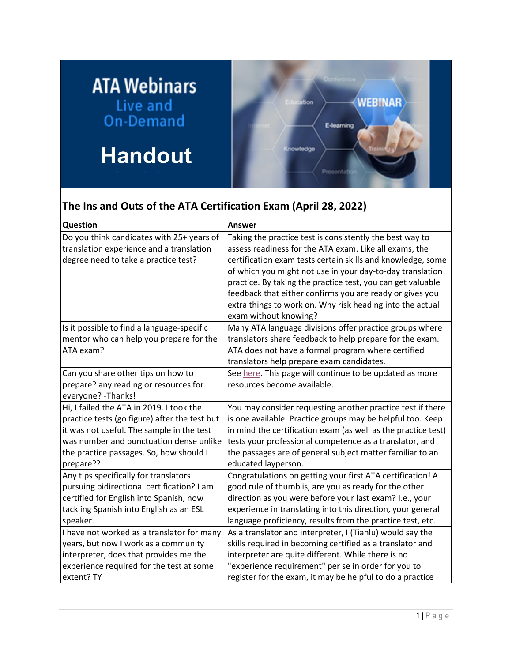## **ATA Webinars** Live and<br>On-Demand

## **Handout**



## **The Ins and Outs of the ATA Certification Exam (April 28, 2022)**

| Question                                      | Answer                                                        |
|-----------------------------------------------|---------------------------------------------------------------|
| Do you think candidates with 25+ years of     | Taking the practice test is consistently the best way to      |
| translation experience and a translation      | assess readiness for the ATA exam. Like all exams, the        |
| degree need to take a practice test?          | certification exam tests certain skills and knowledge, some   |
|                                               | of which you might not use in your day-to-day translation     |
|                                               | practice. By taking the practice test, you can get valuable   |
|                                               | feedback that either confirms you are ready or gives you      |
|                                               | extra things to work on. Why risk heading into the actual     |
|                                               | exam without knowing?                                         |
| Is it possible to find a language-specific    | Many ATA language divisions offer practice groups where       |
| mentor who can help you prepare for the       | translators share feedback to help prepare for the exam.      |
| ATA exam?                                     | ATA does not have a formal program where certified            |
|                                               | translators help prepare exam candidates.                     |
| Can you share other tips on how to            | See here. This page will continue to be updated as more       |
| prepare? any reading or resources for         | resources become available.                                   |
| everyone? - Thanks!                           |                                                               |
| Hi, I failed the ATA in 2019. I took the      | You may consider requesting another practice test if there    |
| practice tests (go figure) after the test but | is one available. Practice groups may be helpful too. Keep    |
| it was not useful. The sample in the test     | in mind the certification exam (as well as the practice test) |
| was number and punctuation dense unlike       | tests your professional competence as a translator, and       |
| the practice passages. So, how should I       | the passages are of general subject matter familiar to an     |
| prepare??                                     | educated layperson.                                           |
| Any tips specifically for translators         | Congratulations on getting your first ATA certification! A    |
| pursuing bidirectional certification? I am    | good rule of thumb is, are you as ready for the other         |
| certified for English into Spanish, now       | direction as you were before your last exam? I.e., your       |
| tackling Spanish into English as an ESL       | experience in translating into this direction, your general   |
| speaker.                                      | language proficiency, results from the practice test, etc.    |
| I have not worked as a translator for many    | As a translator and interpreter, I (Tianlu) would say the     |
| years, but now I work as a community          | skills required in becoming certified as a translator and     |
| interpreter, does that provides me the        | interpreter are quite different. While there is no            |
| experience required for the test at some      | "experience requirement" per se in order for you to           |
| extent? TY                                    | register for the exam, it may be helpful to do a practice     |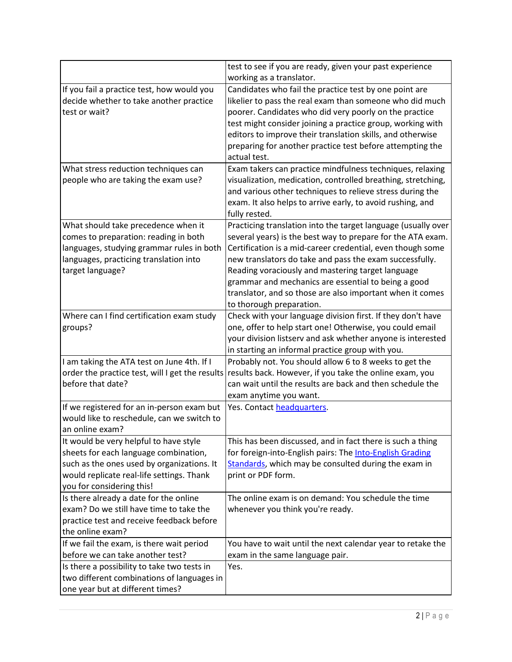|                                                                                                                                                                                                         | test to see if you are ready, given your past experience<br>working as a translator.                                                                                                                                                                                                                                                                                                                                                                       |
|---------------------------------------------------------------------------------------------------------------------------------------------------------------------------------------------------------|------------------------------------------------------------------------------------------------------------------------------------------------------------------------------------------------------------------------------------------------------------------------------------------------------------------------------------------------------------------------------------------------------------------------------------------------------------|
| If you fail a practice test, how would you<br>decide whether to take another practice<br>test or wait?                                                                                                  | Candidates who fail the practice test by one point are<br>likelier to pass the real exam than someone who did much<br>poorer. Candidates who did very poorly on the practice<br>test might consider joining a practice group, working with<br>editors to improve their translation skills, and otherwise<br>preparing for another practice test before attempting the<br>actual test.                                                                      |
| What stress reduction techniques can<br>people who are taking the exam use?                                                                                                                             | Exam takers can practice mindfulness techniques, relaxing<br>visualization, medication, controlled breathing, stretching,<br>and various other techniques to relieve stress during the<br>exam. It also helps to arrive early, to avoid rushing, and<br>fully rested.                                                                                                                                                                                      |
| What should take precedence when it<br>comes to preparation: reading in both<br>languages, studying grammar rules in both<br>languages, practicing translation into<br>target language?                 | Practicing translation into the target language (usually over<br>several years) is the best way to prepare for the ATA exam.<br>Certification is a mid-career credential, even though some<br>new translators do take and pass the exam successfully.<br>Reading voraciously and mastering target language<br>grammar and mechanics are essential to being a good<br>translator, and so those are also important when it comes<br>to thorough preparation. |
| Where can I find certification exam study<br>groups?                                                                                                                                                    | Check with your language division first. If they don't have<br>one, offer to help start one! Otherwise, you could email<br>your division listserv and ask whether anyone is interested<br>in starting an informal practice group with you.                                                                                                                                                                                                                 |
| I am taking the ATA test on June 4th. If I<br>order the practice test, will I get the results<br>before that date?                                                                                      | Probably not. You should allow 6 to 8 weeks to get the<br>results back. However, if you take the online exam, you<br>can wait until the results are back and then schedule the<br>exam anytime you want.                                                                                                                                                                                                                                                   |
| If we registered for an in-person exam but<br>would like to reschedule, can we switch to<br>an online exam?                                                                                             | Yes. Contact headquarters.                                                                                                                                                                                                                                                                                                                                                                                                                                 |
| It would be very helpful to have style<br>sheets for each language combination,<br>such as the ones used by organizations. It<br>would replicate real-life settings. Thank<br>you for considering this! | This has been discussed, and in fact there is such a thing<br>for foreign-into-English pairs: The Into-English Grading<br>Standards, which may be consulted during the exam in<br>print or PDF form.                                                                                                                                                                                                                                                       |
| Is there already a date for the online<br>exam? Do we still have time to take the<br>practice test and receive feedback before<br>the online exam?                                                      | The online exam is on demand: You schedule the time<br>whenever you think you're ready.                                                                                                                                                                                                                                                                                                                                                                    |
| If we fail the exam, is there wait period<br>before we can take another test?                                                                                                                           | You have to wait until the next calendar year to retake the<br>exam in the same language pair.                                                                                                                                                                                                                                                                                                                                                             |
| Is there a possibility to take two tests in<br>two different combinations of languages in<br>one year but at different times?                                                                           | Yes.                                                                                                                                                                                                                                                                                                                                                                                                                                                       |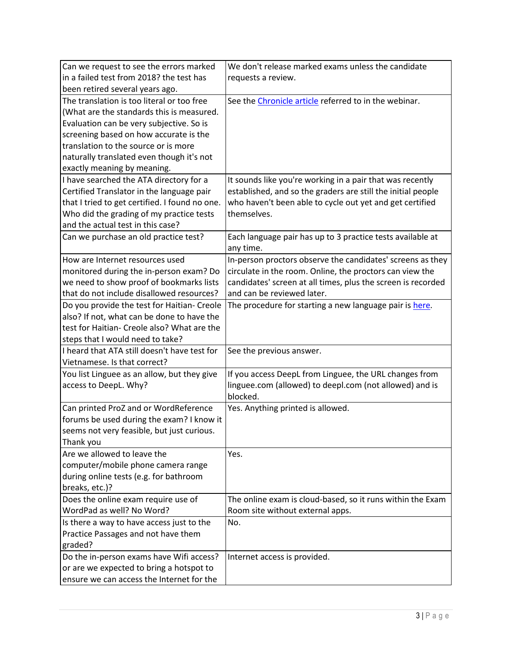| Can we request to see the errors marked        | We don't release marked exams unless the candidate           |
|------------------------------------------------|--------------------------------------------------------------|
| in a failed test from 2018? the test has       | requests a review.                                           |
| been retired several years ago.                |                                                              |
| The translation is too literal or too free     | See the Chronicle article referred to in the webinar.        |
| (What are the standards this is measured.      |                                                              |
| Evaluation can be very subjective. So is       |                                                              |
| screening based on how accurate is the         |                                                              |
| translation to the source or is more           |                                                              |
| naturally translated even though it's not      |                                                              |
| exactly meaning by meaning.                    |                                                              |
| I have searched the ATA directory for a        | It sounds like you're working in a pair that was recently    |
| Certified Translator in the language pair      | established, and so the graders are still the initial people |
| that I tried to get certified. I found no one. | who haven't been able to cycle out yet and get certified     |
| Who did the grading of my practice tests       | themselves.                                                  |
| and the actual test in this case?              |                                                              |
| Can we purchase an old practice test?          | Each language pair has up to 3 practice tests available at   |
|                                                | any time.                                                    |
| How are Internet resources used                | In-person proctors observe the candidates' screens as they   |
| monitored during the in-person exam? Do        | circulate in the room. Online, the proctors can view the     |
| we need to show proof of bookmarks lists       | candidates' screen at all times, plus the screen is recorded |
| that do not include disallowed resources?      | and can be reviewed later.                                   |
| Do you provide the test for Haitian- Creole    | The procedure for starting a new language pair is here.      |
| also? If not, what can be done to have the     |                                                              |
| test for Haitian- Creole also? What are the    |                                                              |
| steps that I would need to take?               |                                                              |
| I heard that ATA still doesn't have test for   | See the previous answer.                                     |
| Vietnamese. Is that correct?                   |                                                              |
| You list Linguee as an allow, but they give    | If you access DeepL from Linguee, the URL changes from       |
| access to DeepL. Why?                          | linguee.com (allowed) to deepl.com (not allowed) and is      |
|                                                | blocked.                                                     |
| Can printed ProZ and or WordReference          | Yes. Anything printed is allowed.                            |
| forums be used during the exam? I know it      |                                                              |
| seems not very feasible, but just curious.     |                                                              |
| Thank you                                      |                                                              |
| Are we allowed to leave the                    | Yes.                                                         |
| computer/mobile phone camera range             |                                                              |
| during online tests (e.g. for bathroom         |                                                              |
| breaks, etc.)?                                 |                                                              |
| Does the online exam require use of            | The online exam is cloud-based, so it runs within the Exam   |
| WordPad as well? No Word?                      | Room site without external apps.                             |
| Is there a way to have access just to the      | No.                                                          |
| Practice Passages and not have them            |                                                              |
| graded?                                        |                                                              |
| Do the in-person exams have Wifi access?       | Internet access is provided.                                 |
| or are we expected to bring a hotspot to       |                                                              |
| ensure we can access the Internet for the      |                                                              |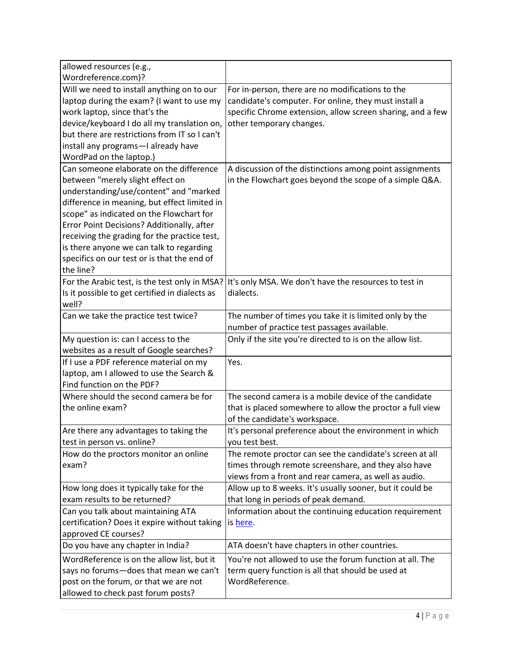| allowed resources (e.g.,                       |                                                            |
|------------------------------------------------|------------------------------------------------------------|
| Wordreference.com)?                            |                                                            |
| Will we need to install anything on to our     | For in-person, there are no modifications to the           |
| laptop during the exam? (I want to use my      | candidate's computer. For online, they must install a      |
| work laptop, since that's the                  | specific Chrome extension, allow screen sharing, and a few |
| device/keyboard I do all my translation on,    | other temporary changes.                                   |
| but there are restrictions from IT so I can't  |                                                            |
| install any programs-I already have            |                                                            |
| WordPad on the laptop.)                        |                                                            |
| Can someone elaborate on the difference        | A discussion of the distinctions among point assignments   |
| between "merely slight effect on               | in the Flowchart goes beyond the scope of a simple Q&A.    |
| understanding/use/content" and "marked         |                                                            |
| difference in meaning, but effect limited in   |                                                            |
| scope" as indicated on the Flowchart for       |                                                            |
| Error Point Decisions? Additionally, after     |                                                            |
| receiving the grading for the practice test,   |                                                            |
| is there anyone we can talk to regarding       |                                                            |
| specifics on our test or is that the end of    |                                                            |
| the line?                                      |                                                            |
| For the Arabic test, is the test only in MSA?  | It's only MSA. We don't have the resources to test in      |
| Is it possible to get certified in dialects as | dialects.                                                  |
| well?                                          |                                                            |
| Can we take the practice test twice?           | The number of times you take it is limited only by the     |
|                                                | number of practice test passages available.                |
| My question is: can I access to the            | Only if the site you're directed to is on the allow list.  |
| websites as a result of Google searches?       |                                                            |
| If I use a PDF reference material on my        | Yes.                                                       |
| laptop, am I allowed to use the Search &       |                                                            |
| Find function on the PDF?                      |                                                            |
| Where should the second camera be for          | The second camera is a mobile device of the candidate      |
| the online exam?                               | that is placed somewhere to allow the proctor a full view  |
|                                                | of the candidate's workspace.                              |
| Are there any advantages to taking the         | It's personal preference about the environment in which    |
| test in person vs. online?                     | you test best.                                             |
| How do the proctors monitor an online          | The remote proctor can see the candidate's screen at all   |
| exam?                                          | times through remote screenshare, and they also have       |
|                                                | views from a front and rear camera, as well as audio.      |
| How long does it typically take for the        | Allow up to 8 weeks. It's usually sooner, but it could be  |
| exam results to be returned?                   | that long in periods of peak demand.                       |
| Can you talk about maintaining ATA             | Information about the continuing education requirement     |
| certification? Does it expire without taking   | is here.                                                   |
| approved CE courses?                           |                                                            |
| Do you have any chapter in India?              | ATA doesn't have chapters in other countries.              |
| WordReference is on the allow list, but it     | You're not allowed to use the forum function at all. The   |
| says no forums-does that mean we can't         | term query function is all that should be used at          |
| post on the forum, or that we are not          | WordReference.                                             |
| allowed to check past forum posts?             |                                                            |
|                                                |                                                            |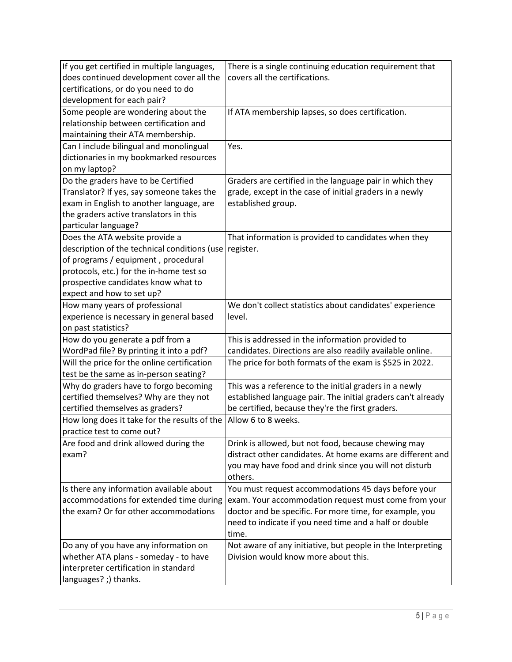| If you get certified in multiple languages,                                | There is a single continuing education requirement that                                                           |
|----------------------------------------------------------------------------|-------------------------------------------------------------------------------------------------------------------|
| does continued development cover all the                                   | covers all the certifications.                                                                                    |
| certifications, or do you need to do                                       |                                                                                                                   |
| development for each pair?                                                 |                                                                                                                   |
| Some people are wondering about the                                        | If ATA membership lapses, so does certification.                                                                  |
| relationship between certification and                                     |                                                                                                                   |
| maintaining their ATA membership.                                          |                                                                                                                   |
| Can I include bilingual and monolingual                                    | Yes.                                                                                                              |
| dictionaries in my bookmarked resources                                    |                                                                                                                   |
| on my laptop?                                                              |                                                                                                                   |
| Do the graders have to be Certified                                        | Graders are certified in the language pair in which they                                                          |
| Translator? If yes, say someone takes the                                  | grade, except in the case of initial graders in a newly                                                           |
| exam in English to another language, are                                   | established group.                                                                                                |
| the graders active translators in this                                     |                                                                                                                   |
| particular language?                                                       |                                                                                                                   |
| Does the ATA website provide a                                             | That information is provided to candidates when they                                                              |
| description of the technical conditions (use                               | register.                                                                                                         |
| of programs / equipment, procedural                                        |                                                                                                                   |
| protocols, etc.) for the in-home test so                                   |                                                                                                                   |
| prospective candidates know what to                                        |                                                                                                                   |
| expect and how to set up?                                                  |                                                                                                                   |
| How many years of professional                                             | We don't collect statistics about candidates' experience                                                          |
| experience is necessary in general based                                   | level.                                                                                                            |
| on past statistics?                                                        |                                                                                                                   |
| How do you generate a pdf from a                                           | This is addressed in the information provided to                                                                  |
| WordPad file? By printing it into a pdf?                                   | candidates. Directions are also readily available online.                                                         |
| Will the price for the online certification                                | The price for both formats of the exam is \$525 in 2022.                                                          |
| test be the same as in-person seating?                                     |                                                                                                                   |
| Why do graders have to forgo becoming                                      | This was a reference to the initial graders in a newly                                                            |
| certified themselves? Why are they not                                     | established language pair. The initial graders can't already                                                      |
| certified themselves as graders?                                           | be certified, because they're the first graders.                                                                  |
| How long does it take for the results of the<br>practice test to come out? | Allow 6 to 8 weeks.                                                                                               |
|                                                                            |                                                                                                                   |
| Are food and drink allowed during the<br>exam?                             | Drink is allowed, but not food, because chewing may<br>distract other candidates. At home exams are different and |
|                                                                            | you may have food and drink since you will not disturb                                                            |
|                                                                            | others.                                                                                                           |
| Is there any information available about                                   | You must request accommodations 45 days before your                                                               |
| accommodations for extended time during                                    | exam. Your accommodation request must come from your                                                              |
| the exam? Or for other accommodations                                      | doctor and be specific. For more time, for example, you                                                           |
|                                                                            | need to indicate if you need time and a half or double                                                            |
|                                                                            | time.                                                                                                             |
| Do any of you have any information on                                      | Not aware of any initiative, but people in the Interpreting                                                       |
| whether ATA plans - someday - to have                                      | Division would know more about this.                                                                              |
| interpreter certification in standard                                      |                                                                                                                   |
| languages? ;) thanks.                                                      |                                                                                                                   |
|                                                                            |                                                                                                                   |